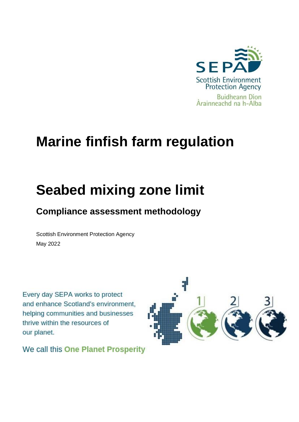

## **Marine finfish farm regulation**

# **Seabed mixing zone limit**

### **Compliance assessment methodology**

Scottish Environment Protection Agency May 2022

Every day SEPA works to protect and enhance Scotland's environment, helping communities and businesses thrive within the resources of our planet.



We call this One Planet Prosperity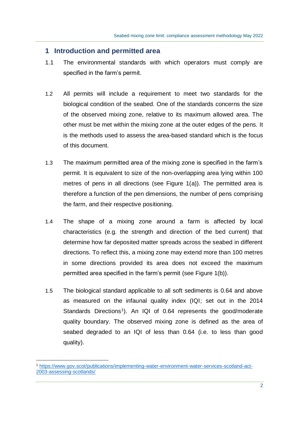#### **1 Introduction and permitted area**

- 1.1 The environmental standards with which operators must comply are specified in the farm's permit.
- 1.2 All permits will include a requirement to meet two standards for the biological condition of the seabed. One of the standards concerns the size of the observed mixing zone, relative to its maximum allowed area. The other must be met within the mixing zone at the outer edges of the pens. It is the methods used to assess the area-based standard which is the focus of this document.
- 1.3 The maximum permitted area of the mixing zone is specified in the farm's permit. It is equivalent to size of the non-overlapping area lying within 100 metres of pens in all directions (see Figure 1(a)). The permitted area is therefore a function of the pen dimensions, the number of pens comprising the farm, and their respective positioning.
- 1.4 The shape of a mixing zone around a farm is affected by local characteristics (e.g. the strength and direction of the bed current) that determine how far deposited matter spreads across the seabed in different directions. To reflect this, a mixing zone may extend more than 100 metres in some directions provided its area does not exceed the maximum permitted area specified in the farm's permit (see Figure 1(b)).
- 1.5 The biological standard applicable to all soft sediments is 0.64 and above as measured on the infaunal quality index (IQI; set out in the 2014 Standards Directions<sup>1</sup>). An IQI of 0.64 represents the good/moderate quality boundary. The observed mixing zone is defined as the area of seabed degraded to an IQI of less than 0.64 (i.e. to less than good quality).

<sup>1</sup> [https://www.gov.scot/publications/implementing-water-environment-water-services-scotland-act-](https://www.gov.scot/publications/implementing-water-environment-water-services-scotland-act-2003-assessing-scotlands/)[2003-assessing-scotlands/](https://www.gov.scot/publications/implementing-water-environment-water-services-scotland-act-2003-assessing-scotlands/)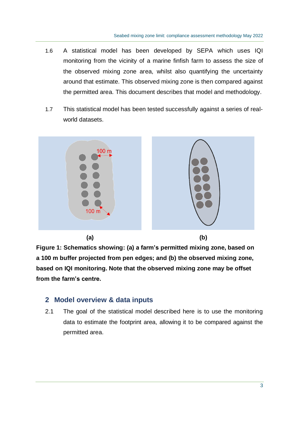- 1.6 A statistical model has been developed by SEPA which uses IQI monitoring from the vicinity of a marine finfish farm to assess the size of the observed mixing zone area, whilst also quantifying the uncertainty around that estimate. This observed mixing zone is then compared against the permitted area. This document describes that model and methodology.
- 1.7 This statistical model has been tested successfully against a series of realworld datasets.



**Figure 1: Schematics showing: (a) a farm's permitted mixing zone, based on a 100 m buffer projected from pen edges; and (b) the observed mixing zone, based on IQI monitoring. Note that the observed mixing zone may be offset from the farm's centre.**

#### **2 Model overview & data inputs**

2.1 The goal of the statistical model described here is to use the monitoring data to estimate the footprint area, allowing it to be compared against the permitted area.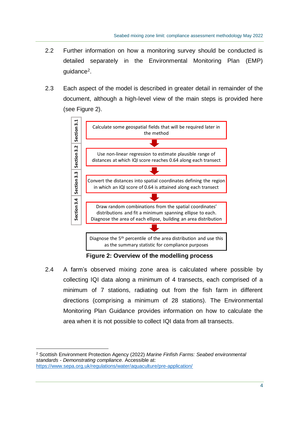- 2.2 Further information on how a monitoring survey should be conducted is detailed separately in the Environmental Monitoring Plan (EMP) guidance<sup>2</sup>.
- 2.3 Each aspect of the model is described in greater detail in remainder of the document, although a high-level view of the main steps is provided here (see Figure 2).



**Figure 2: Overview of the modelling process**

2.4 A farm's observed mixing zone area is calculated where possible by collecting IQI data along a minimum of 4 transects, each comprised of a minimum of 7 stations, radiating out from the fish farm in different directions (comprising a minimum of 28 stations). The Environmental Monitoring Plan Guidance provides information on how to calculate the area when it is not possible to collect IQI data from all transects.

<sup>2</sup> Scottish Environment Protection Agency (2022) *Marine Finfish Farms: Seabed environmental standards - Demonstrating compliance.* Accessible at: <https://www.sepa.org.uk/regulations/water/aquaculture/pre-application/>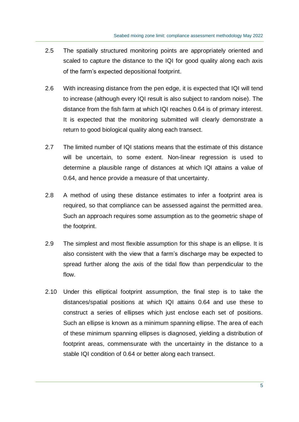- 2.5 The spatially structured monitoring points are appropriately oriented and scaled to capture the distance to the IQI for good quality along each axis of the farm's expected depositional footprint.
- 2.6 With increasing distance from the pen edge, it is expected that IQI will tend to increase (although every IQI result is also subject to random noise). The distance from the fish farm at which IQI reaches 0.64 is of primary interest. It is expected that the monitoring submitted will clearly demonstrate a return to good biological quality along each transect.
- 2.7 The limited number of IQI stations means that the estimate of this distance will be uncertain, to some extent. Non-linear regression is used to determine a plausible range of distances at which IQI attains a value of 0.64, and hence provide a measure of that uncertainty.
- 2.8 A method of using these distance estimates to infer a footprint area is required, so that compliance can be assessed against the permitted area. Such an approach requires some assumption as to the geometric shape of the footprint.
- 2.9 The simplest and most flexible assumption for this shape is an ellipse. It is also consistent with the view that a farm's discharge may be expected to spread further along the axis of the tidal flow than perpendicular to the flow.
- 2.10 Under this elliptical footprint assumption, the final step is to take the distances/spatial positions at which IQI attains 0.64 and use these to construct a series of ellipses which just enclose each set of positions. Such an ellipse is known as a minimum spanning ellipse. The area of each of these minimum spanning ellipses is diagnosed, yielding a distribution of footprint areas, commensurate with the uncertainty in the distance to a stable IQI condition of 0.64 or better along each transect.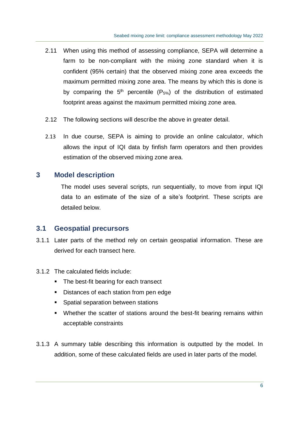- 2.11 When using this method of assessing compliance, SEPA will determine a farm to be non-compliant with the mixing zone standard when it is confident (95% certain) that the observed mixing zone area exceeds the maximum permitted mixing zone area. The means by which this is done is by comparing the  $5<sup>th</sup>$  percentile (P<sub>5%</sub>) of the distribution of estimated footprint areas against the maximum permitted mixing zone area.
- 2.12 The following sections will describe the above in greater detail.
- 2.13 In due course, SEPA is aiming to provide an online calculator, which allows the input of IQI data by finfish farm operators and then provides estimation of the observed mixing zone area.

#### **3 Model description**

The model uses several scripts, run sequentially, to move from input IQI data to an estimate of the size of a site's footprint. These scripts are detailed below.

#### **3.1 Geospatial precursors**

- 3.1.1 Later parts of the method rely on certain geospatial information. These are derived for each transect here.
- 3.1.2 The calculated fields include:
	- The best-fit bearing for each transect
	- Distances of each station from pen edge
	- Spatial separation between stations
	- Whether the scatter of stations around the best-fit bearing remains within acceptable constraints
- 3.1.3 A summary table describing this information is outputted by the model. In addition, some of these calculated fields are used in later parts of the model.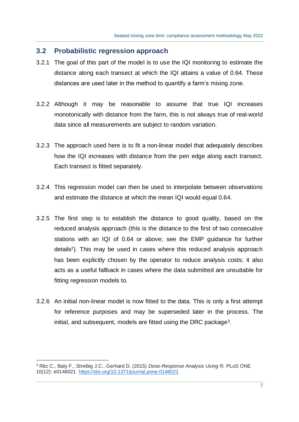#### **3.2 Probabilistic regression approach**

- 3.2.1 The goal of this part of the model is to use the IQI monitoring to estimate the distance along each transect at which the IQI attains a value of 0.64. These distances are used later in the method to quantify a farm's mixing zone.
- 3.2.2 Although it may be reasonable to assume that true IQI increases monotonically with distance from the farm, this is not always true of real-world data since all measurements are subject to random variation.
- 3.2.3 The approach used here is to fit a non-linear model that adequately describes how the IQI increases with distance from the pen edge along each transect. Each transect is fitted separately.
- 3.2.4 This regression model can then be used to interpolate between observations and estimate the distance at which the mean IQI would equal 0.64.
- 3.2.5 The first step is to establish the distance to good quality, based on the reduced analysis approach (this is the distance to the first of two consecutive stations with an IQI of 0.64 or above; see the EMP guidance for further details<sup>2</sup>). This may be used in cases where this reduced analysis approach has been explicitly chosen by the operator to reduce analysis costs; it also acts as a useful fallback in cases where the data submitted are unsuitable for fitting regression models to.
- 3.2.6 An initial non-linear model is now fitted to the data. This is only a first attempt for reference purposes and may be superseded later in the process. The initial, and subsequent, models are fitted using the DRC package<sup>3</sup>.

<sup>3</sup> Ritz C., Baty F., Streibig J.C., Gerhard D. (2015) *Dose-Response Analysis Using R.* PLoS ONE 10(12): e0146021.<https://doi.org/10.1371/journal.pone.0146021>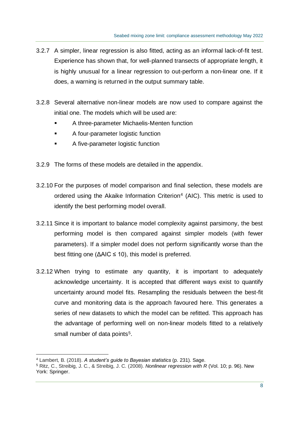- 3.2.7 A simpler, linear regression is also fitted, acting as an informal lack-of-fit test. Experience has shown that, for well-planned transects of appropriate length, it is highly unusual for a linear regression to out-perform a non-linear one. If it does, a warning is returned in the output summary table.
- 3.2.8 Several alternative non-linear models are now used to compare against the initial one. The models which will be used are:
	- A three-parameter Michaelis-Menten function
	- A four-parameter logistic function
	- A five-parameter logistic function
- 3.2.9 The forms of these models are detailed in the appendix.
- 3.2.10 For the purposes of model comparison and final selection, these models are ordered using the Akaike Information Criterion<sup>4</sup> (AIC). This metric is used to identify the best performing model overall.
- 3.2.11 Since it is important to balance model complexity against parsimony, the best performing model is then compared against simpler models (with fewer parameters). If a simpler model does not perform significantly worse than the best fitting one ( $\Delta AIC \le 10$ ), this model is preferred.
- 3.2.12 When trying to estimate any quantity, it is important to adequately acknowledge uncertainty. It is accepted that different ways exist to quantify uncertainty around model fits. Resampling the residuals between the best-fit curve and monitoring data is the approach favoured here. This generates a series of new datasets to which the model can be refitted. This approach has the advantage of performing well on non-linear models fitted to a relatively small number of data points<sup>5</sup>.

<sup>4</sup> Lambert, B. (2018). *A student's guide to Bayesian statistics* (p. 231). Sage.

<sup>5</sup> Ritz, C., Streibig, J. C., & Streibig, J. C. (2008). *Nonlinear regression with R* (Vol. 10; p. 96). New York: Springer.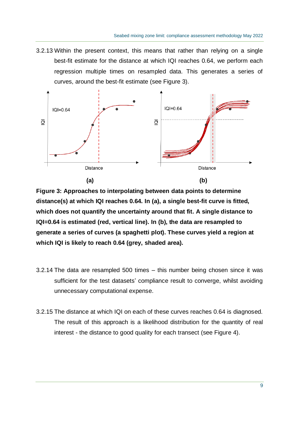3.2.13 Within the present context, this means that rather than relying on a single best-fit estimate for the distance at which IQI reaches 0.64, we perform each regression multiple times on resampled data. This generates a series of curves, around the best-fit estimate (see Figure 3).



**Figure 3: Approaches to interpolating between data points to determine distance(s) at which IQI reaches 0.64. In (a), a single best-fit curve is fitted, which does not quantify the uncertainty around that fit. A single distance to IQI=0.64 is estimated (red, vertical line). In (b), the data are resampled to generate a series of curves (a spaghetti plot). These curves yield a region at which IQI is likely to reach 0.64 (grey, shaded area).**

- 3.2.14 The data are resampled 500 times this number being chosen since it was sufficient for the test datasets' compliance result to converge, whilst avoiding unnecessary computational expense.
- 3.2.15 The distance at which IQI on each of these curves reaches 0.64 is diagnosed. The result of this approach is a likelihood distribution for the quantity of real interest - the distance to good quality for each transect (see Figure 4).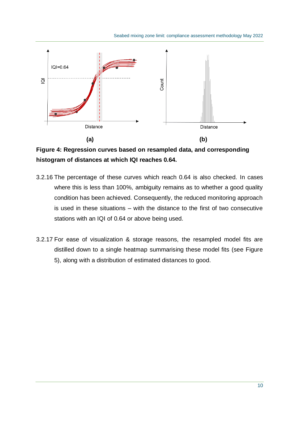

**Figure 4: Regression curves based on resampled data, and corresponding histogram of distances at which IQI reaches 0.64.**

- 3.2.16 The percentage of these curves which reach 0.64 is also checked. In cases where this is less than 100%, ambiguity remains as to whether a good quality condition has been achieved. Consequently, the reduced monitoring approach is used in these situations – with the distance to the first of two consecutive stations with an IQI of 0.64 or above being used.
- 3.2.17 For ease of visualization & storage reasons, the resampled model fits are distilled down to a single heatmap summarising these model fits (see Figure 5), along with a distribution of estimated distances to good.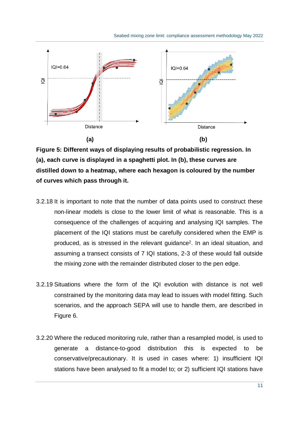

**Figure 5: Different ways of displaying results of probabilistic regression. In (a), each curve is displayed in a spaghetti plot. In (b), these curves are distilled down to a heatmap, where each hexagon is coloured by the number of curves which pass through it.**

- 3.2.18 It is important to note that the number of data points used to construct these non-linear models is close to the lower limit of what is reasonable. This is a consequence of the challenges of acquiring and analysing IQI samples. The placement of the IQI stations must be carefully considered when the EMP is produced, as is stressed in the relevant guidance<sup>2</sup>. In an ideal situation, and assuming a transect consists of 7 IQI stations, 2-3 of these would fall outside the mixing zone with the remainder distributed closer to the pen edge.
- 3.2.19 Situations where the form of the IQI evolution with distance is not well constrained by the monitoring data may lead to issues with model fitting. Such scenarios, and the approach SEPA will use to handle them, are described in Figure 6.
- 3.2.20 Where the reduced monitoring rule, rather than a resampled model, is used to generate a distance-to-good distribution this is expected to be conservative/precautionary. It is used in cases where: 1) insufficient IQI stations have been analysed to fit a model to; or 2) sufficient IQI stations have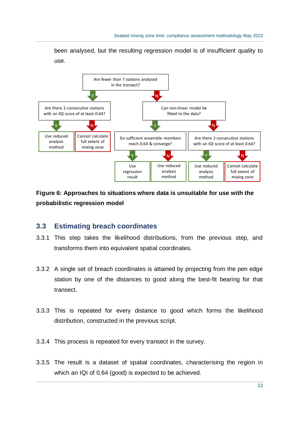been analysed, but the resulting regression model is of insufficient quality to use.



**Figure 6: Approaches to situations where data is unsuitable for use with the probabilistic regression model**

#### **3.3 Estimating breach coordinates**

- 3.3.1 This step takes the likelihood distributions, from the previous step, and transforms them into equivalent spatial coordinates.
- 3.3.2 A single set of breach coordinates is attained by projecting from the pen edge station by one of the distances to good along the best-fit bearing for that transect.
- 3.3.3 This is repeated for every distance to good which forms the likelihood distribution, constructed in the previous script.
- 3.3.4 This process is repeated for every transect in the survey.
- 3.3.5 The result is a dataset of spatial coordinates, characterising the region in which an IQI of 0.64 (good) is expected to be achieved.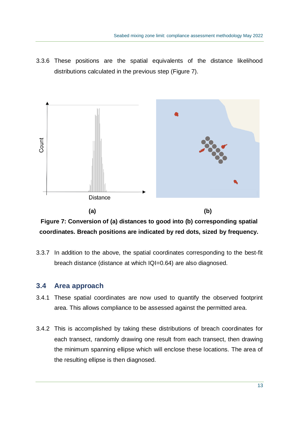3.3.6 These positions are the spatial equivalents of the distance likelihood distributions calculated in the previous step (Figure 7).



**Figure 7: Conversion of (a) distances to good into (b) corresponding spatial coordinates. Breach positions are indicated by red dots, sized by frequency.**

3.3.7 In addition to the above, the spatial coordinates corresponding to the best-fit breach distance (distance at which IQI=0.64) are also diagnosed.

#### **3.4 Area approach**

- 3.4.1 These spatial coordinates are now used to quantify the observed footprint area. This allows compliance to be assessed against the permitted area.
- 3.4.2 This is accomplished by taking these distributions of breach coordinates for each transect, randomly drawing one result from each transect, then drawing the minimum spanning ellipse which will enclose these locations. The area of the resulting ellipse is then diagnosed.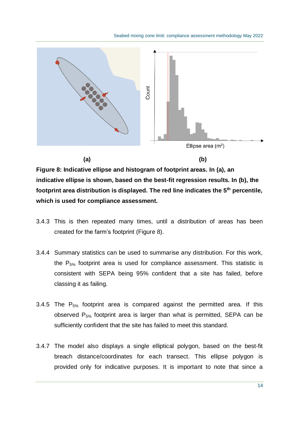

**Figure 8: Indicative ellipse and histogram of footprint areas. In (a), an indicative ellipse is shown, based on the best-fit regression results. In (b), the footprint area distribution is displayed. The red line indicates the 5th percentile, which is used for compliance assessment.**

- 3.4.3 This is then repeated many times, until a distribution of areas has been created for the farm's footprint (Figure 8).
- 3.4.4 Summary statistics can be used to summarise any distribution. For this work, the  $P_{5%}$  footprint area is used for compliance assessment. This statistic is consistent with SEPA being 95% confident that a site has failed, before classing it as failing.
- 3.4.5 The  $P_{5\%}$  footprint area is compared against the permitted area. If this observed  $P_{5\%}$  footprint area is larger than what is permitted, SEPA can be sufficiently confident that the site has failed to meet this standard.
- 3.4.7 The model also displays a single elliptical polygon, based on the best-fit breach distance/coordinates for each transect. This ellipse polygon is provided only for indicative purposes. It is important to note that since a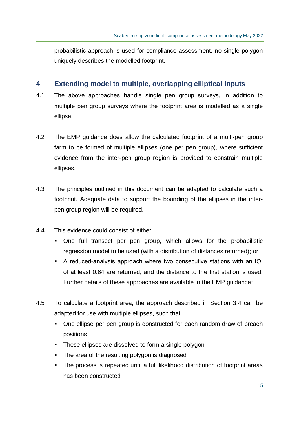probabilistic approach is used for compliance assessment, no single polygon uniquely describes the modelled footprint.

#### **4 Extending model to multiple, overlapping elliptical inputs**

- 4.1 The above approaches handle single pen group surveys, in addition to multiple pen group surveys where the footprint area is modelled as a single ellipse.
- 4.2 The EMP guidance does allow the calculated footprint of a multi-pen group farm to be formed of multiple ellipses (one per pen group), where sufficient evidence from the inter-pen group region is provided to constrain multiple ellipses.
- 4.3 The principles outlined in this document can be adapted to calculate such a footprint. Adequate data to support the bounding of the ellipses in the interpen group region will be required.
- 4.4 This evidence could consist of either:
	- One full transect per pen group, which allows for the probabilistic regression model to be used (with a distribution of distances returned); or
	- A reduced-analysis approach where two consecutive stations with an IQI of at least 0.64 are returned, and the distance to the first station is used. Further details of these approaches are available in the EMP guidance<sup>2</sup>.
- 4.5 To calculate a footprint area, the approach described in Section 3.4 can be adapted for use with multiple ellipses, such that:
	- One ellipse per pen group is constructed for each random draw of breach positions
	- These ellipses are dissolved to form a single polygon
	- The area of the resulting polygon is diagnosed
	- The process is repeated until a full likelihood distribution of footprint areas has been constructed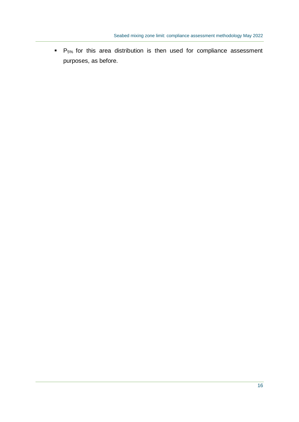$\blacksquare$  P<sub>5%</sub> for this area distribution is then used for compliance assessment purposes, as before.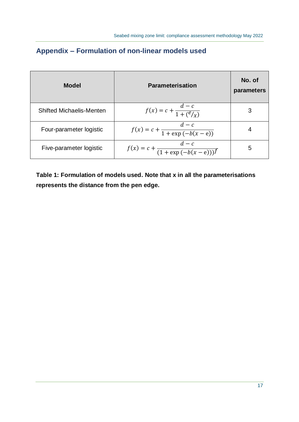| Model                           | <b>Parameterisation</b>                           | No. of<br>parameters |
|---------------------------------|---------------------------------------------------|----------------------|
| <b>Shifted Michaelis-Menten</b> | $f(x) = c + \frac{a - c}{1 + (e/x)}$              | 3                    |
| Four-parameter logistic         | $f(x) = c + \frac{d - c}{1 + \exp(-b(x - e))}$    |                      |
| Five-parameter logistic         | $f(x) = c + \frac{d - c}{(1 + \exp(-b(x - e)))f}$ | 5                    |

### **Appendix – Formulation of non-linear models used**

**Table 1: Formulation of models used. Note that x in all the parameterisations represents the distance from the pen edge.**